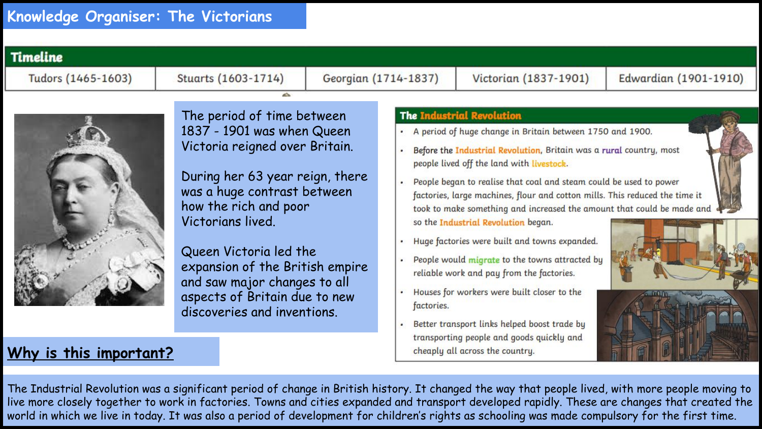

## **Why is this important?**

The Industrial Revolution was a significant period of change in British history. It changed the way that people lived, with more people moving to live more closely together to work in factories. Towns and cities expanded and transport developed rapidly. These are changes that created the world in which we live in today. It was also a period of development for children's rights as schooling was made compulsory for the first time.

cheaply all across the country.